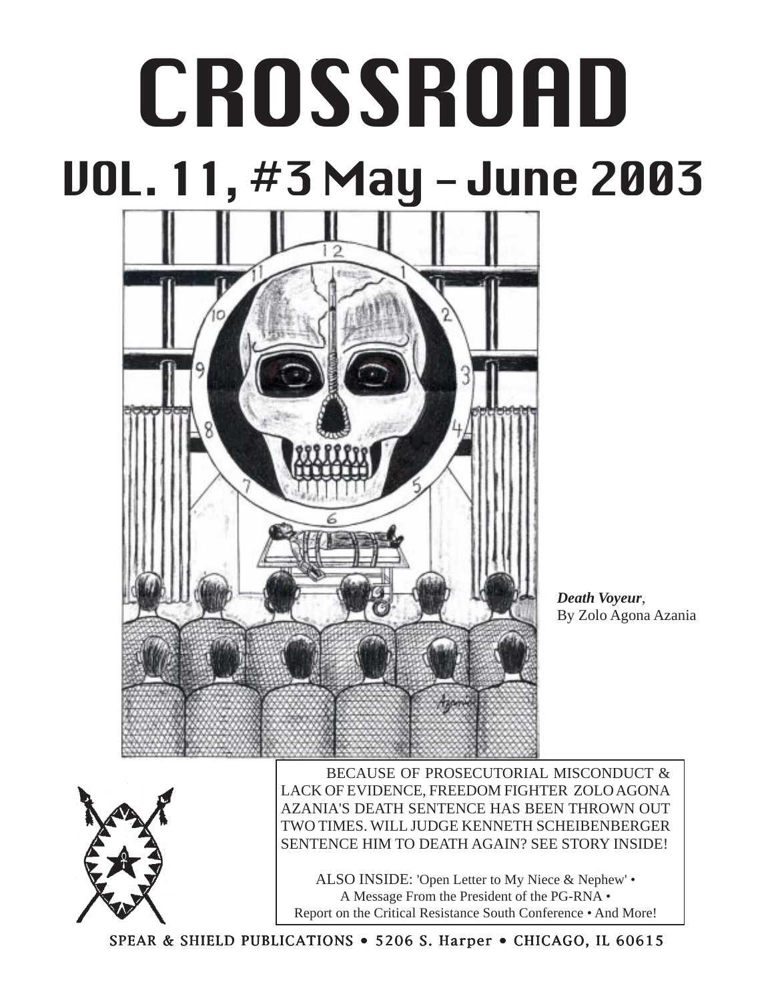# CROSSROAD /SSP, VOL. 11, #3 - 1 - May - June 2003 **CROSSROAD** VOL. 11, #3 May - June 2003



*Death Voyeur*, By Zolo Agona Azania



BECAUSE OF PROSECUTORIAL MISCONDUCT & LACK OF EVIDENCE, FREEDOM FIGHTER ZOLO AGONA AZANIA'S DEATH SENTENCE HAS BEEN THROWN OUT TWO TIMES. WILL JUDGE KENNETH SCHEIBENBERGER SENTENCE HIM TO DEATH AGAIN? SEE STORY INSIDE!

ALSO INSIDE: 'Open Letter to My Niece & Nephew' • A Message From the President of the PG-RNA • Report on the Critical Resistance South Conference • And More!

SPEAR & SHIELD PUBLICATIONS • 5206 S. Harper • CHICAGO, IL 60615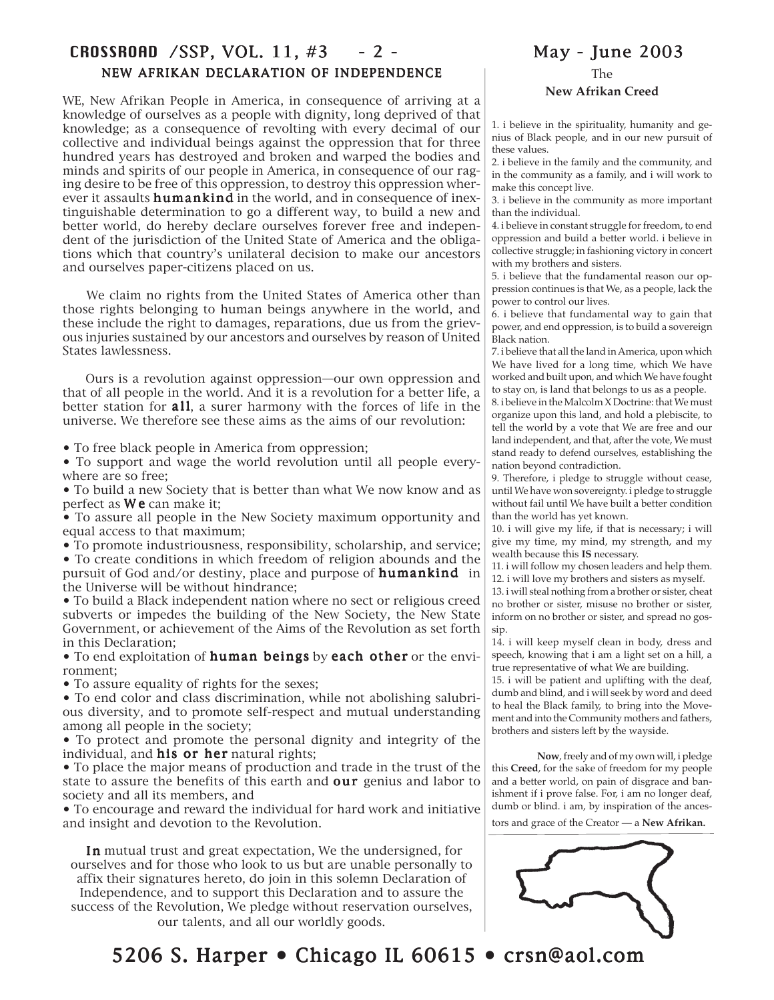### CROSSROAD /SSP, VOL. 11, #3 - 2 - May - June 2003 NEW AFRIKAN DECLARATION OF INDEPENDENCE

WE, New Afrikan People in America, in consequence of arriving at a knowledge of ourselves as a people with dignity, long deprived of that knowledge; as a consequence of revolting with every decimal of our collective and individual beings against the oppression that for three hundred years has destroyed and broken and warped the bodies and minds and spirits of our people in America, in consequence of our raging desire to be free of this oppression, to destroy this oppression wherever it assaults **humankind** in the world, and in consequence of inextinguishable determination to go a different way, to build a new and better world, do hereby declare ourselves forever free and independent of the jurisdiction of the United State of America and the obligations which that country's unilateral decision to make our ancestors and ourselves paper-citizens placed on us.

 We claim no rights from the United States of America other than those rights belonging to human beings anywhere in the world, and these include the right to damages, reparations, due us from the grievous injuries sustained by our ancestors and ourselves by reason of United States lawlessness.

 Ours is a revolution against oppression—our own oppression and that of all people in the world. And it is a revolution for a better life, a better station for **all**, a surer harmony with the forces of life in the universe. We therefore see these aims as the aims of our revolution:

• To free black people in America from oppression;

• To support and wage the world revolution until all people everywhere are so free;

• To build a new Society that is better than what We now know and as perfect as  $W$ e can make it;

• To assure all people in the New Society maximum opportunity and equal access to that maximum;

• To promote industriousness, responsibility, scholarship, and service; • To create conditions in which freedom of religion abounds and the pursuit of God and/or destiny, place and purpose of **humankind** in the Universe will be without hindrance;

• To build a Black independent nation where no sect or religious creed subverts or impedes the building of the New Society, the New State Government, or achievement of the Aims of the Revolution as set forth in this Declaration;

• To end exploitation of **human beings** by **each other** or the environment;

• To assure equality of rights for the sexes;

• To end color and class discrimination, while not abolishing salubrious diversity, and to promote self-respect and mutual understanding among all people in the society;

• To protect and promote the personal dignity and integrity of the individual, and his or her natural rights;

• To place the major means of production and trade in the trust of the state to assure the benefits of this earth and **our** genius and labor to society and all its members, and

• To encourage and reward the individual for hard work and initiative and insight and devotion to the Revolution.

In mutual trust and great expectation, We the undersigned, for ourselves and for those who look to us but are unable personally to affix their signatures hereto, do join in this solemn Declaration of Independence, and to support this Declaration and to assure the success of the Revolution, We pledge without reservation ourselves,

our talents, and all our worldly goods.

# The

#### **New Afrikan Creed**

1. i believe in the spirituality, humanity and genius of Black people, and in our new pursuit of these values.

2. i believe in the family and the community, and in the community as a family, and i will work to make this concept live.

3. i believe in the community as more important than the individual.

4. i believe in constant struggle for freedom, to end oppression and build a better world. i believe in collective struggle; in fashioning victory in concert with my brothers and sisters.

5. i believe that the fundamental reason our oppression continues is that We, as a people, lack the power to control our lives.

6. i believe that fundamental way to gain that power, and end oppression, is to build a sovereign Black nation.

7. i believe that all the land in America, upon which We have lived for a long time, which We have worked and built upon, and which We have fought to stay on, is land that belongs to us as a people.

8. i believe in the Malcolm X Doctrine: that We must organize upon this land, and hold a plebiscite, to tell the world by a vote that We are free and our land independent, and that, after the vote, We must stand ready to defend ourselves, establishing the nation beyond contradiction.

9. Therefore, i pledge to struggle without cease, until We have won sovereignty. i pledge to struggle without fail until We have built a better condition than the world has yet known.

10. i will give my life, if that is necessary; i will give my time, my mind, my strength, and my wealth because this **IS** necessary.

11. i will follow my chosen leaders and help them. 12. i will love my brothers and sisters as myself.

13. i will steal nothing from a brother or sister, cheat no brother or sister, misuse no brother or sister, inform on no brother or sister, and spread no gossip.

14. i will keep myself clean in body, dress and speech, knowing that i am a light set on a hill, a true representative of what We are building.

15. i will be patient and uplifting with the deaf, dumb and blind, and i will seek by word and deed to heal the Black family, to bring into the Movement and into the Community mothers and fathers, brothers and sisters left by the wayside.

**Now**, freely and of my own will, i pledge this **Creed**, for the sake of freedom for my people and a better world, on pain of disgrace and banishment if i prove false. For, i am no longer deaf, dumb or blind. i am, by inspiration of the ancestors and grace of the Creator — a **New Afrikan.**

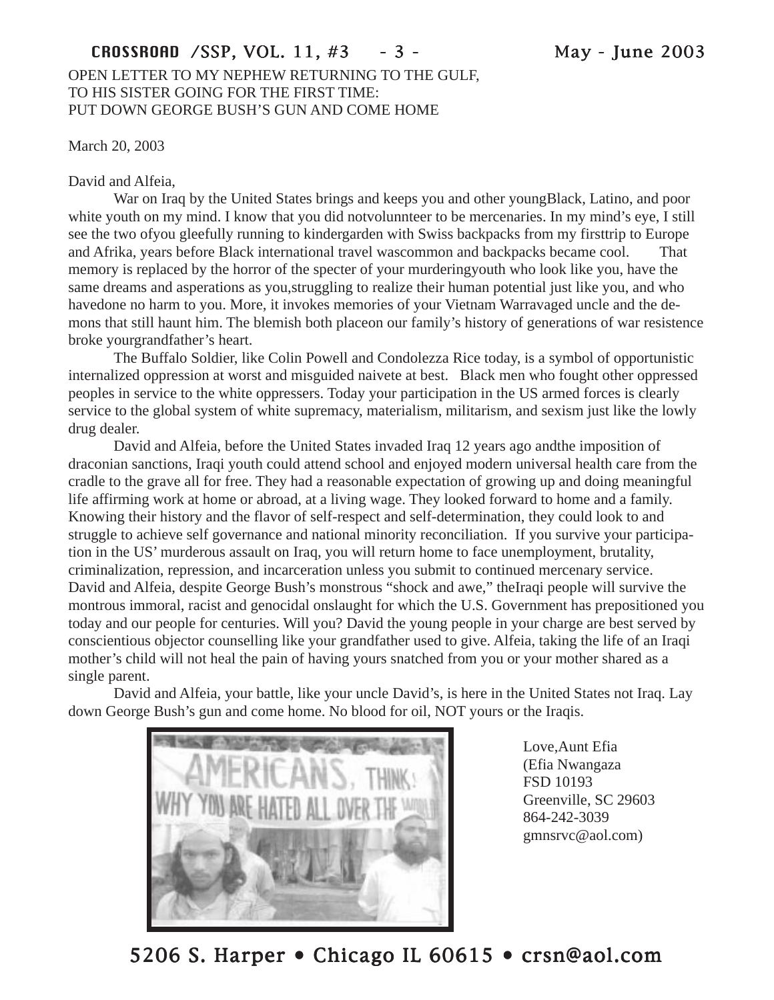# OPEN LETTER TO MY NEPHEW RETURNING TO THE GULF, TO HIS SISTER GOING FOR THE FIRST TIME: PUT DOWN GEORGE BUSH'S GUN AND COME HOME

March 20, 2003

#### David and Alfeia,

War on Iraq by the United States brings and keeps you and other youngBlack, Latino, and poor white youth on my mind. I know that you did notvolunnteer to be mercenaries. In my mind's eye, I still see the two ofyou gleefully running to kindergarden with Swiss backpacks from my firsttrip to Europe and Afrika, years before Black international travel wascommon and backpacks became cool. That memory is replaced by the horror of the specter of your murderingyouth who look like you, have the same dreams and asperations as you,struggling to realize their human potential just like you, and who havedone no harm to you. More, it invokes memories of your Vietnam Warravaged uncle and the demons that still haunt him. The blemish both placeon our family's history of generations of war resistence broke yourgrandfather's heart.

The Buffalo Soldier, like Colin Powell and Condolezza Rice today, is a symbol of opportunistic internalized oppression at worst and misguided naivete at best. Black men who fought other oppressed peoples in service to the white oppressers. Today your participation in the US armed forces is clearly service to the global system of white supremacy, materialism, militarism, and sexism just like the lowly drug dealer.

David and Alfeia, before the United States invaded Iraq 12 years ago andthe imposition of draconian sanctions, Iraqi youth could attend school and enjoyed modern universal health care from the cradle to the grave all for free. They had a reasonable expectation of growing up and doing meaningful life affirming work at home or abroad, at a living wage. They looked forward to home and a family. Knowing their history and the flavor of self-respect and self-determination, they could look to and struggle to achieve self governance and national minority reconciliation. If you survive your participation in the US' murderous assault on Iraq, you will return home to face unemployment, brutality, criminalization, repression, and incarceration unless you submit to continued mercenary service. David and Alfeia, despite George Bush's monstrous "shock and awe," theIraqi people will survive the montrous immoral, racist and genocidal onslaught for which the U.S. Government has prepositioned you today and our people for centuries. Will you? David the young people in your charge are best served by conscientious objector counselling like your grandfather used to give. Alfeia, taking the life of an Iraqi mother's child will not heal the pain of having yours snatched from you or your mother shared as a single parent.

David and Alfeia, your battle, like your uncle David's, is here in the United States not Iraq. Lay down George Bush's gun and come home. No blood for oil, NOT yours or the Iraqis.



Love,Aunt Efia (Efia Nwangaza FSD 10193 Greenville, SC 29603 864-242-3039 gmnsrvc@aol.com)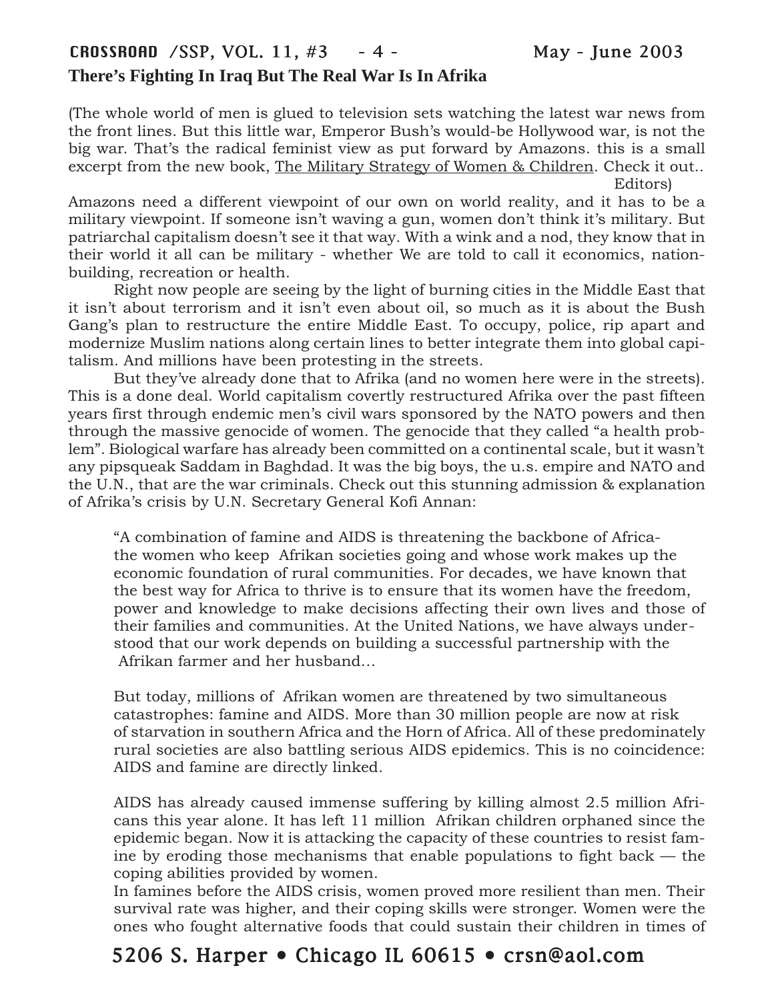(The whole world of men is glued to television sets watching the latest war news from the front lines. But this little war, Emperor Bush's would-be Hollywood war, is not the big war. That's the radical feminist view as put forward by Amazons. this is a small excerpt from the new book, The Military Strategy of Women & Children. Check it out..

Editors)

Amazons need a different viewpoint of our own on world reality, and it has to be a military viewpoint. If someone isn't waving a gun, women don't think it's military. But patriarchal capitalism doesn't see it that way. With a wink and a nod, they know that in their world it all can be military - whether We are told to call it economics, nationbuilding, recreation or health.

Right now people are seeing by the light of burning cities in the Middle East that it isn't about terrorism and it isn't even about oil, so much as it is about the Bush Gang's plan to restructure the entire Middle East. To occupy, police, rip apart and modernize Muslim nations along certain lines to better integrate them into global capitalism. And millions have been protesting in the streets.

But they've already done that to Afrika (and no women here were in the streets). This is a done deal. World capitalism covertly restructured Afrika over the past fifteen years first through endemic men's civil wars sponsored by the NATO powers and then through the massive genocide of women. The genocide that they called "a health problem". Biological warfare has already been committed on a continental scale, but it wasn't any pipsqueak Saddam in Baghdad. It was the big boys, the u.s. empire and NATO and the U.N., that are the war criminals. Check out this stunning admission & explanation of Afrika's crisis by U.N. Secretary General Kofi Annan:

"A combination of famine and AIDS is threatening the backbone of Africathe women who keep Afrikan societies going and whose work makes up the economic foundation of rural communities. For decades, we have known that the best way for Africa to thrive is to ensure that its women have the freedom, power and knowledge to make decisions affecting their own lives and those of their families and communities. At the United Nations, we have always understood that our work depends on building a successful partnership with the Afrikan farmer and her husband…

But today, millions of Afrikan women are threatened by two simultaneous catastrophes: famine and AIDS. More than 30 million people are now at risk of starvation in southern Africa and the Horn of Africa. All of these predominately rural societies are also battling serious AIDS epidemics. This is no coincidence: AIDS and famine are directly linked.

AIDS has already caused immense suffering by killing almost 2.5 million Africans this year alone. It has left 11 million Afrikan children orphaned since the epidemic began. Now it is attacking the capacity of these countries to resist famine by eroding those mechanisms that enable populations to fight back — the coping abilities provided by women.

In famines before the AIDS crisis, women proved more resilient than men. Their survival rate was higher, and their coping skills were stronger. Women were the ones who fought alternative foods that could sustain their children in times of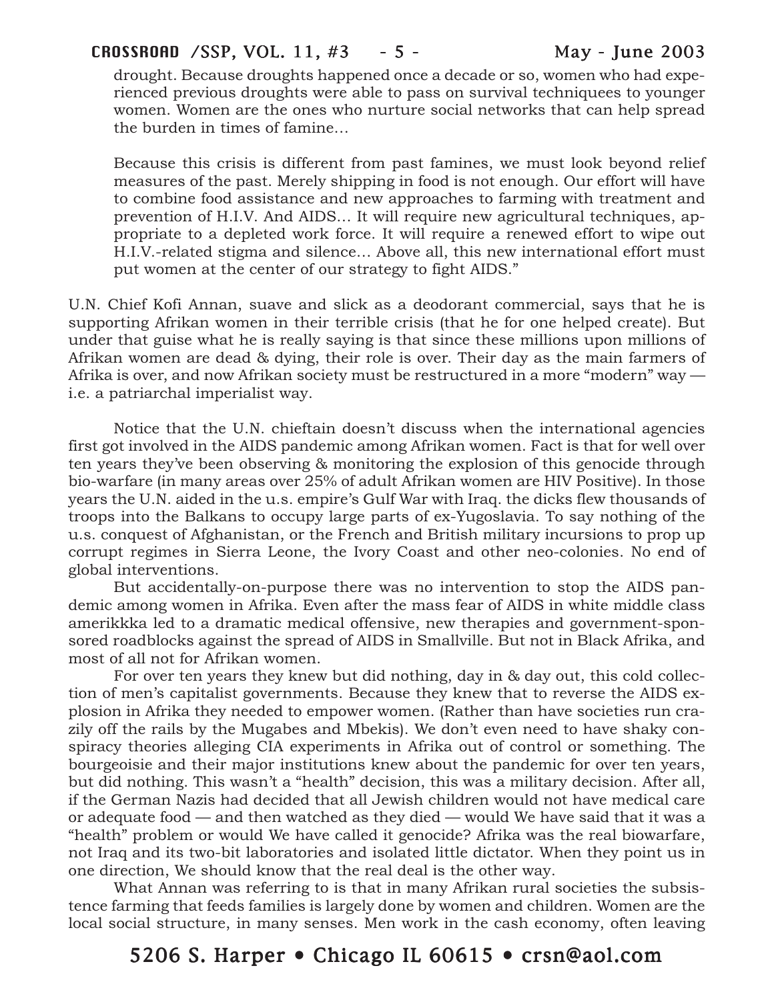# CROSSROAD /SSP, VOL. 11, #3 - 5 - May - June 2003

drought. Because droughts happened once a decade or so, women who had experienced previous droughts were able to pass on survival techniquees to younger women. Women are the ones who nurture social networks that can help spread the burden in times of famine…

Because this crisis is different from past famines, we must look beyond relief measures of the past. Merely shipping in food is not enough. Our effort will have to combine food assistance and new approaches to farming with treatment and prevention of H.I.V. And AIDS… It will require new agricultural techniques, appropriate to a depleted work force. It will require a renewed effort to wipe out H.I.V.-related stigma and silence… Above all, this new international effort must put women at the center of our strategy to fight AIDS."

U.N. Chief Kofi Annan, suave and slick as a deodorant commercial, says that he is supporting Afrikan women in their terrible crisis (that he for one helped create). But under that guise what he is really saying is that since these millions upon millions of Afrikan women are dead & dying, their role is over. Their day as the main farmers of Afrika is over, and now Afrikan society must be restructured in a more "modern" way i.e. a patriarchal imperialist way.

Notice that the U.N. chieftain doesn't discuss when the international agencies first got involved in the AIDS pandemic among Afrikan women. Fact is that for well over ten years they've been observing & monitoring the explosion of this genocide through bio-warfare (in many areas over 25% of adult Afrikan women are HIV Positive). In those years the U.N. aided in the u.s. empire's Gulf War with Iraq. the dicks flew thousands of troops into the Balkans to occupy large parts of ex-Yugoslavia. To say nothing of the u.s. conquest of Afghanistan, or the French and British military incursions to prop up corrupt regimes in Sierra Leone, the Ivory Coast and other neo-colonies. No end of global interventions.

But accidentally-on-purpose there was no intervention to stop the AIDS pandemic among women in Afrika. Even after the mass fear of AIDS in white middle class amerikkka led to a dramatic medical offensive, new therapies and government-sponsored roadblocks against the spread of AIDS in Smallville. But not in Black Afrika, and most of all not for Afrikan women.

For over ten years they knew but did nothing, day in & day out, this cold collection of men's capitalist governments. Because they knew that to reverse the AIDS explosion in Afrika they needed to empower women. (Rather than have societies run crazily off the rails by the Mugabes and Mbekis). We don't even need to have shaky conspiracy theories alleging CIA experiments in Afrika out of control or something. The bourgeoisie and their major institutions knew about the pandemic for over ten years, but did nothing. This wasn't a "health" decision, this was a military decision. After all, if the German Nazis had decided that all Jewish children would not have medical care or adequate food — and then watched as they died — would We have said that it was a "health" problem or would We have called it genocide? Afrika was the real biowarfare, not Iraq and its two-bit laboratories and isolated little dictator. When they point us in one direction, We should know that the real deal is the other way.

What Annan was referring to is that in many Afrikan rural societies the subsistence farming that feeds families is largely done by women and children. Women are the local social structure, in many senses. Men work in the cash economy, often leaving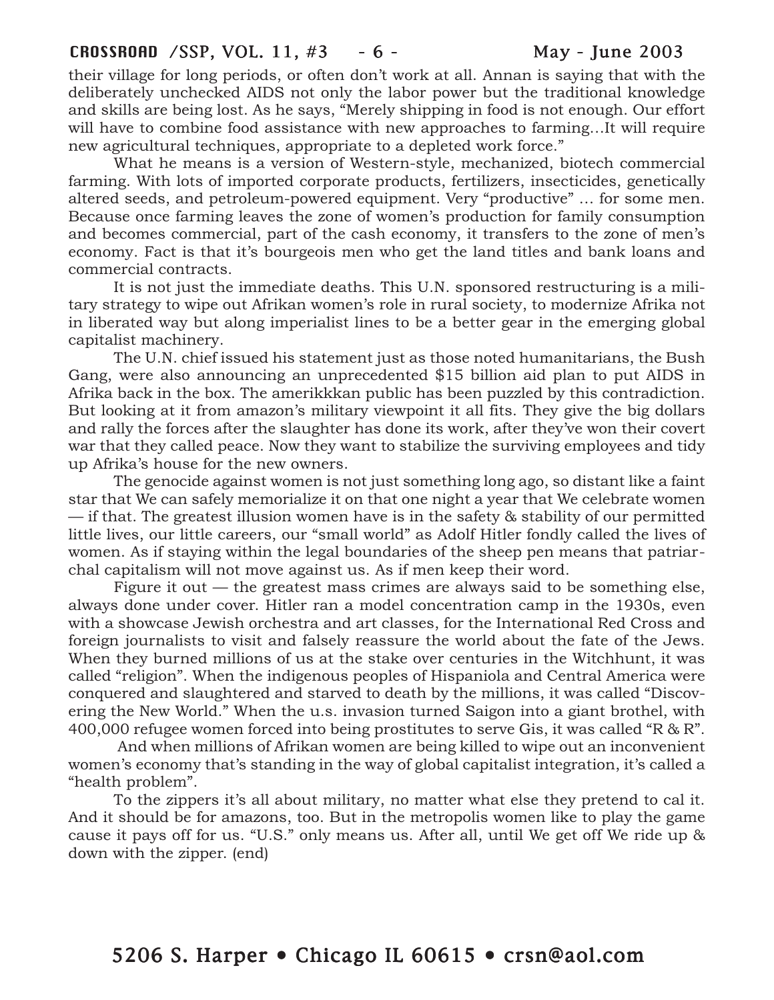## CROSSROAD /SSP, VOL. 11, #3 - 6 - May - June 2003

their village for long periods, or often don't work at all. Annan is saying that with the deliberately unchecked AIDS not only the labor power but the traditional knowledge and skills are being lost. As he says, "Merely shipping in food is not enough. Our effort will have to combine food assistance with new approaches to farming…It will require new agricultural techniques, appropriate to a depleted work force."

What he means is a version of Western-style, mechanized, biotech commercial farming. With lots of imported corporate products, fertilizers, insecticides, genetically altered seeds, and petroleum-powered equipment. Very "productive" … for some men. Because once farming leaves the zone of women's production for family consumption and becomes commercial, part of the cash economy, it transfers to the zone of men's economy. Fact is that it's bourgeois men who get the land titles and bank loans and commercial contracts.

It is not just the immediate deaths. This U.N. sponsored restructuring is a military strategy to wipe out Afrikan women's role in rural society, to modernize Afrika not in liberated way but along imperialist lines to be a better gear in the emerging global capitalist machinery.

The U.N. chief issued his statement just as those noted humanitarians, the Bush Gang, were also announcing an unprecedented \$15 billion aid plan to put AIDS in Afrika back in the box. The amerikkkan public has been puzzled by this contradiction. But looking at it from amazon's military viewpoint it all fits. They give the big dollars and rally the forces after the slaughter has done its work, after they've won their covert war that they called peace. Now they want to stabilize the surviving employees and tidy up Afrika's house for the new owners.

The genocide against women is not just something long ago, so distant like a faint star that We can safely memorialize it on that one night a year that We celebrate women — if that. The greatest illusion women have is in the safety & stability of our permitted little lives, our little careers, our "small world" as Adolf Hitler fondly called the lives of women. As if staying within the legal boundaries of the sheep pen means that patriarchal capitalism will not move against us. As if men keep their word.

Figure it out — the greatest mass crimes are always said to be something else, always done under cover. Hitler ran a model concentration camp in the 1930s, even with a showcase Jewish orchestra and art classes, for the International Red Cross and foreign journalists to visit and falsely reassure the world about the fate of the Jews. When they burned millions of us at the stake over centuries in the Witchhunt, it was called "religion". When the indigenous peoples of Hispaniola and Central America were conquered and slaughtered and starved to death by the millions, it was called "Discovering the New World." When the u.s. invasion turned Saigon into a giant brothel, with 400,000 refugee women forced into being prostitutes to serve Gis, it was called "R & R".

 And when millions of Afrikan women are being killed to wipe out an inconvenient women's economy that's standing in the way of global capitalist integration, it's called a "health problem".

To the zippers it's all about military, no matter what else they pretend to cal it. And it should be for amazons, too. But in the metropolis women like to play the game cause it pays off for us. "U.S." only means us. After all, until We get off We ride up & down with the zipper. (end)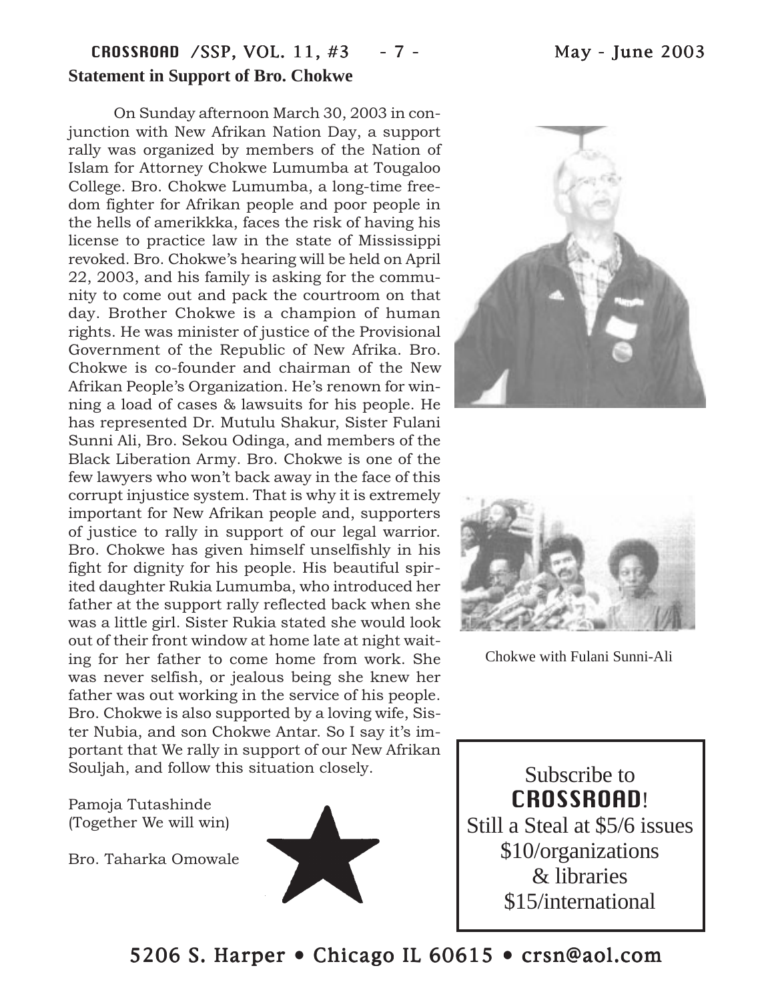# CROSSROAD /SSP, VOL. 11, #3 - 7 - May - June 2003 **Statement in Support of Bro. Chokwe**

On Sunday afternoon March 30, 2003 in conjunction with New Afrikan Nation Day, a support rally was organized by members of the Nation of Islam for Attorney Chokwe Lumumba at Tougaloo College. Bro. Chokwe Lumumba, a long-time freedom fighter for Afrikan people and poor people in the hells of amerikkka, faces the risk of having his license to practice law in the state of Mississippi revoked. Bro. Chokwe's hearing will be held on April 22, 2003, and his family is asking for the community to come out and pack the courtroom on that day. Brother Chokwe is a champion of human rights. He was minister of justice of the Provisional Government of the Republic of New Afrika. Bro. Chokwe is co-founder and chairman of the New Afrikan People's Organization. He's renown for winning a load of cases & lawsuits for his people. He has represented Dr. Mutulu Shakur, Sister Fulani Sunni Ali, Bro. Sekou Odinga, and members of the Black Liberation Army. Bro. Chokwe is one of the few lawyers who won't back away in the face of this corrupt injustice system. That is why it is extremely important for New Afrikan people and, supporters of justice to rally in support of our legal warrior. Bro. Chokwe has given himself unselfishly in his fight for dignity for his people. His beautiful spirited daughter Rukia Lumumba, who introduced her father at the support rally reflected back when she was a little girl. Sister Rukia stated she would look out of their front window at home late at night waiting for her father to come home from work. She was never selfish, or jealous being she knew her father was out working in the service of his people. Bro. Chokwe is also supported by a loving wife, Sister Nubia, and son Chokwe Antar. So I say it's important that We rally in support of our New Afrikan Souljah, and follow this situation closely.

Pamoja Tutashinde (Together We will win)

Bro. Taharka Omowale







Chokwe with Fulani Sunni-Ali

Subscribe to CROSSROAD! Still a Steal at \$5/6 issues \$10/organizations & libraries \$15/international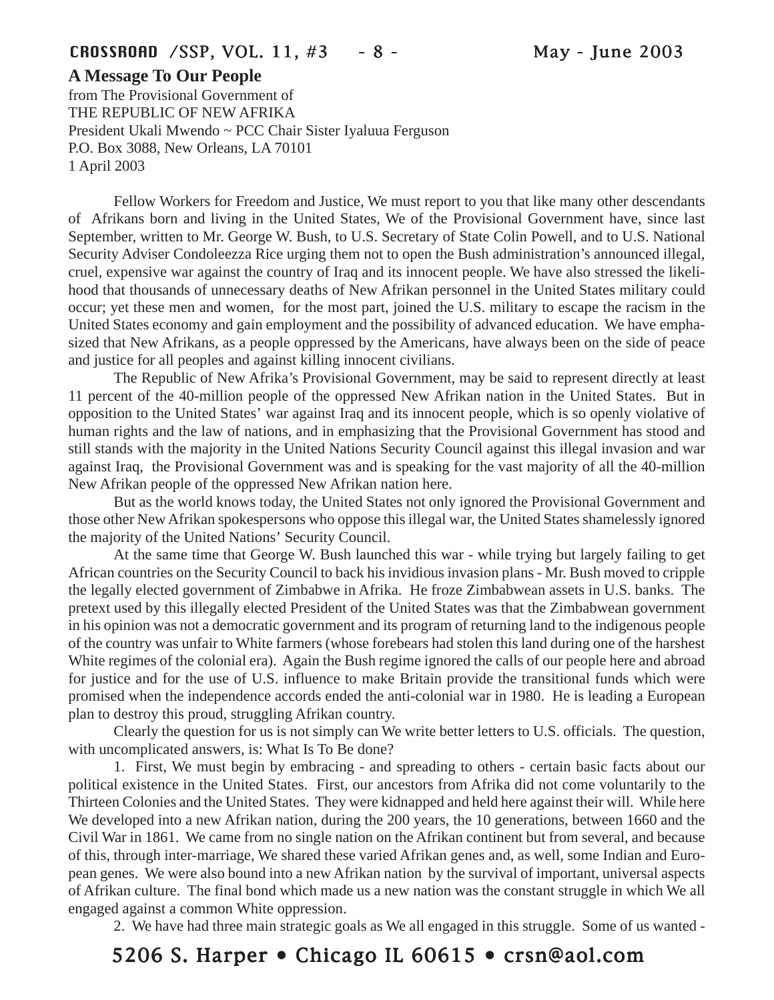## CROSSROAD /SSP, VOL. 11, #3 - 8 - May - June 2003

### **A Message To Our People**

from The Provisional Government of THE REPUBLIC OF NEW AFRIKA President Ukali Mwendo ~ PCC Chair Sister Iyaluua Ferguson P.O. Box 3088, New Orleans, LA 70101 1 April 2003

Fellow Workers for Freedom and Justice, We must report to you that like many other descendants of Afrikans born and living in the United States, We of the Provisional Government have, since last September, written to Mr. George W. Bush, to U.S. Secretary of State Colin Powell, and to U.S. National Security Adviser Condoleezza Rice urging them not to open the Bush administration's announced illegal, cruel, expensive war against the country of Iraq and its innocent people. We have also stressed the likelihood that thousands of unnecessary deaths of New Afrikan personnel in the United States military could occur; yet these men and women, for the most part, joined the U.S. military to escape the racism in the United States economy and gain employment and the possibility of advanced education. We have emphasized that New Afrikans, as a people oppressed by the Americans, have always been on the side of peace and justice for all peoples and against killing innocent civilians.

The Republic of New Afrika's Provisional Government, may be said to represent directly at least 11 percent of the 40-million people of the oppressed New Afrikan nation in the United States. But in opposition to the United States' war against Iraq and its innocent people, which is so openly violative of human rights and the law of nations, and in emphasizing that the Provisional Government has stood and still stands with the majority in the United Nations Security Council against this illegal invasion and war against Iraq, the Provisional Government was and is speaking for the vast majority of all the 40-million New Afrikan people of the oppressed New Afrikan nation here.

But as the world knows today, the United States not only ignored the Provisional Government and those other New Afrikan spokespersons who oppose this illegal war, the United States shamelessly ignored the majority of the United Nations' Security Council.

At the same time that George W. Bush launched this war - while trying but largely failing to get African countries on the Security Council to back his invidious invasion plans - Mr. Bush moved to cripple the legally elected government of Zimbabwe in Afrika. He froze Zimbabwean assets in U.S. banks. The pretext used by this illegally elected President of the United States was that the Zimbabwean government in his opinion was not a democratic government and its program of returning land to the indigenous people of the country was unfair to White farmers (whose forebears had stolen this land during one of the harshest White regimes of the colonial era). Again the Bush regime ignored the calls of our people here and abroad for justice and for the use of U.S. influence to make Britain provide the transitional funds which were promised when the independence accords ended the anti-colonial war in 1980. He is leading a European plan to destroy this proud, struggling Afrikan country.

Clearly the question for us is not simply can We write better letters to U.S. officials. The question, with uncomplicated answers, is: What Is To Be done?

1. First, We must begin by embracing - and spreading to others - certain basic facts about our political existence in the United States. First, our ancestors from Afrika did not come voluntarily to the Thirteen Colonies and the United States. They were kidnapped and held here against their will. While here We developed into a new Afrikan nation, during the 200 years, the 10 generations, between 1660 and the Civil War in 1861. We came from no single nation on the Afrikan continent but from several, and because of this, through inter-marriage, We shared these varied Afrikan genes and, as well, some Indian and European genes. We were also bound into a new Afrikan nation by the survival of important, universal aspects of Afrikan culture. The final bond which made us a new nation was the constant struggle in which We all engaged against a common White oppression.

2. We have had three main strategic goals as We all engaged in this struggle. Some of us wanted -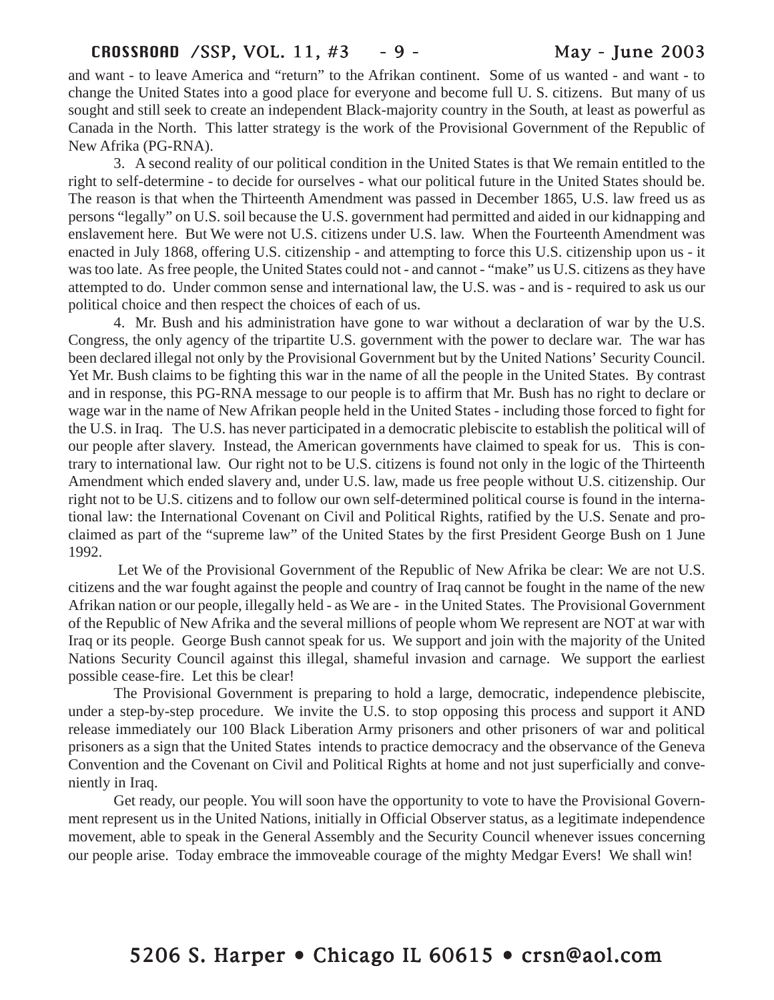and want - to leave America and "return" to the Afrikan continent. Some of us wanted - and want - to change the United States into a good place for everyone and become full U. S. citizens. But many of us sought and still seek to create an independent Black-majority country in the South, at least as powerful as Canada in the North. This latter strategy is the work of the Provisional Government of the Republic of New Afrika (PG-RNA).

3. A second reality of our political condition in the United States is that We remain entitled to the right to self-determine - to decide for ourselves - what our political future in the United States should be. The reason is that when the Thirteenth Amendment was passed in December 1865, U.S. law freed us as persons "legally" on U.S. soil because the U.S. government had permitted and aided in our kidnapping and enslavement here. But We were not U.S. citizens under U.S. law. When the Fourteenth Amendment was enacted in July 1868, offering U.S. citizenship - and attempting to force this U.S. citizenship upon us - it was too late. As free people, the United States could not - and cannot - "make" us U.S. citizens as they have attempted to do. Under common sense and international law, the U.S. was - and is - required to ask us our political choice and then respect the choices of each of us.

4. Mr. Bush and his administration have gone to war without a declaration of war by the U.S. Congress, the only agency of the tripartite U.S. government with the power to declare war. The war has been declared illegal not only by the Provisional Government but by the United Nations' Security Council. Yet Mr. Bush claims to be fighting this war in the name of all the people in the United States. By contrast and in response, this PG-RNA message to our people is to affirm that Mr. Bush has no right to declare or wage war in the name of New Afrikan people held in the United States - including those forced to fight for the U.S. in Iraq. The U.S. has never participated in a democratic plebiscite to establish the political will of our people after slavery. Instead, the American governments have claimed to speak for us. This is contrary to international law. Our right not to be U.S. citizens is found not only in the logic of the Thirteenth Amendment which ended slavery and, under U.S. law, made us free people without U.S. citizenship. Our right not to be U.S. citizens and to follow our own self-determined political course is found in the international law: the International Covenant on Civil and Political Rights, ratified by the U.S. Senate and proclaimed as part of the "supreme law" of the United States by the first President George Bush on 1 June 1992.

 Let We of the Provisional Government of the Republic of New Afrika be clear: We are not U.S. citizens and the war fought against the people and country of Iraq cannot be fought in the name of the new Afrikan nation or our people, illegally held - as We are - in the United States. The Provisional Government of the Republic of New Afrika and the several millions of people whom We represent are NOT at war with Iraq or its people. George Bush cannot speak for us. We support and join with the majority of the United Nations Security Council against this illegal, shameful invasion and carnage. We support the earliest possible cease-fire. Let this be clear!

The Provisional Government is preparing to hold a large, democratic, independence plebiscite, under a step-by-step procedure. We invite the U.S. to stop opposing this process and support it AND release immediately our 100 Black Liberation Army prisoners and other prisoners of war and political prisoners as a sign that the United States intends to practice democracy and the observance of the Geneva Convention and the Covenant on Civil and Political Rights at home and not just superficially and conveniently in Iraq.

Get ready, our people. You will soon have the opportunity to vote to have the Provisional Government represent us in the United Nations, initially in Official Observer status, as a legitimate independence movement, able to speak in the General Assembly and the Security Council whenever issues concerning our people arise. Today embrace the immoveable courage of the mighty Medgar Evers! We shall win!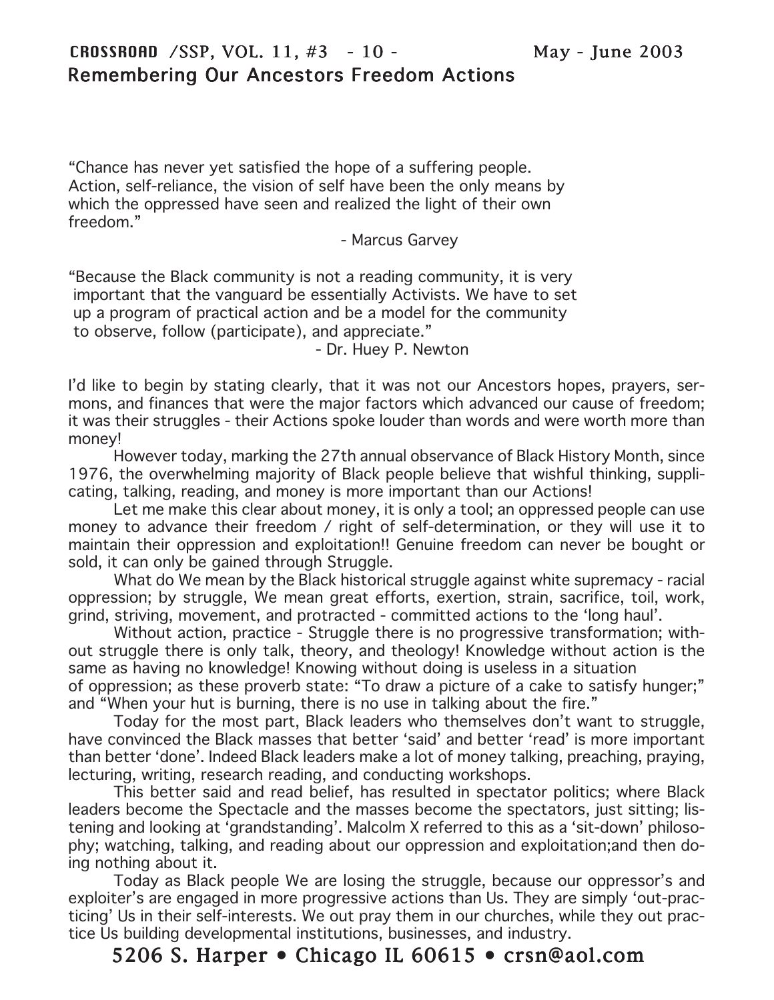"Chance has never yet satisfied the hope of a suffering people. Action, self-reliance, the vision of self have been the only means by which the oppressed have seen and realized the light of their own freedom."

- Marcus Garvey

"Because the Black community is not a reading community, it is very important that the vanguard be essentially Activists. We have to set up a program of practical action and be a model for the community to observe, follow (participate), and appreciate."

- Dr. Huey P. Newton

I'd like to begin by stating clearly, that it was not our Ancestors hopes, prayers, sermons, and finances that were the major factors which advanced our cause of freedom; it was their struggles - their Actions spoke louder than words and were worth more than money!

However today, marking the 27th annual observance of Black History Month, since 1976, the overwhelming majority of Black people believe that wishful thinking, supplicating, talking, reading, and money is more important than our Actions!

Let me make this clear about money, it is only a tool; an oppressed people can use money to advance their freedom / right of self-determination, or they will use it to maintain their oppression and exploitation!! Genuine freedom can never be bought or sold, it can only be gained through Struggle.

What do We mean by the Black historical struggle against white supremacy - racial oppression; by struggle, We mean great efforts, exertion, strain, sacrifice, toil, work, grind, striving, movement, and protracted - committed actions to the 'long haul'.

Without action, practice - Struggle there is no progressive transformation; without struggle there is only talk, theory, and theology! Knowledge without action is the same as having no knowledge! Knowing without doing is useless in a situation of oppression; as these proverb state: "To draw a picture of a cake to satisfy hunger;" and "When your hut is burning, there is no use in talking about the fire."

Today for the most part, Black leaders who themselves don't want to struggle, have convinced the Black masses that better 'said' and better 'read' is more important than better 'done'. Indeed Black leaders make a lot of money talking, preaching, praying, lecturing, writing, research reading, and conducting workshops.

This better said and read belief, has resulted in spectator politics; where Black leaders become the Spectacle and the masses become the spectators, just sitting; listening and looking at 'grandstanding'. Malcolm X referred to this as a 'sit-down' philosophy; watching, talking, and reading about our oppression and exploitation;and then doing nothing about it.

Today as Black people We are losing the struggle, because our oppressor's and exploiter's are engaged in more progressive actions than Us. They are simply 'out-practicing' Us in their self-interests. We out pray them in our churches, while they out practice Us building developmental institutions, businesses, and industry.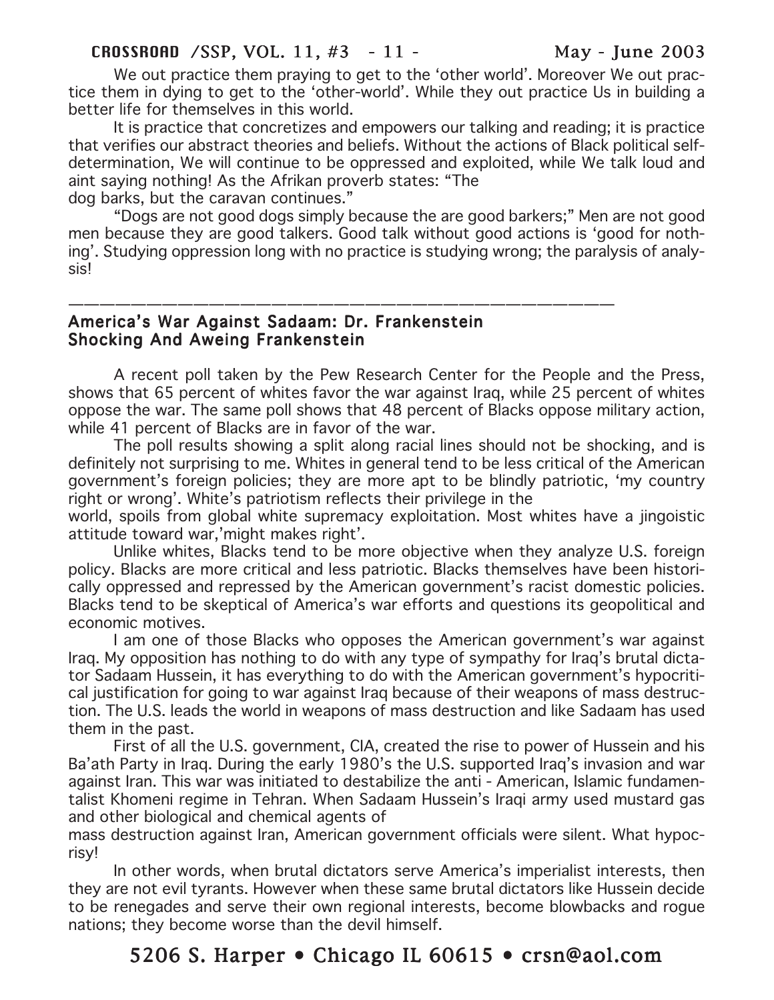We out practice them praying to get to the 'other world'. Moreover We out practice them in dying to get to the 'other-world'. While they out practice Us in building a better life for themselves in this world.

It is practice that concretizes and empowers our talking and reading; it is practice that verifies our abstract theories and beliefs. Without the actions of Black political selfdetermination, We will continue to be oppressed and exploited, while We talk loud and aint saying nothing! As the Afrikan proverb states: "The dog barks, but the caravan continues."

"Dogs are not good dogs simply because the are good barkers;" Men are not good men because they are good talkers. Good talk without good actions is 'good for nothing'. Studying oppression long with no practice is studying wrong; the paralysis of analysis!

#### ——————————————————————————————————— America's War Against Sadaam: Dr. Frankenstein Shocking And Aweing Frankenstein

A recent poll taken by the Pew Research Center for the People and the Press, shows that 65 percent of whites favor the war against Iraq, while 25 percent of whites oppose the war. The same poll shows that 48 percent of Blacks oppose military action, while 41 percent of Blacks are in favor of the war.

The poll results showing a split along racial lines should not be shocking, and is definitely not surprising to me. Whites in general tend to be less critical of the American government's foreign policies; they are more apt to be blindly patriotic, 'my country right or wrong'. White's patriotism reflects their privilege in the

world, spoils from global white supremacy exploitation. Most whites have a jingoistic attitude toward war,'might makes right'.

Unlike whites, Blacks tend to be more objective when they analyze U.S. foreign policy. Blacks are more critical and less patriotic. Blacks themselves have been historically oppressed and repressed by the American government's racist domestic policies. Blacks tend to be skeptical of America's war efforts and questions its geopolitical and economic motives.

I am one of those Blacks who opposes the American government's war against Iraq. My opposition has nothing to do with any type of sympathy for Iraq's brutal dictator Sadaam Hussein, it has everything to do with the American government's hypocritical justification for going to war against Iraq because of their weapons of mass destruction. The U.S. leads the world in weapons of mass destruction and like Sadaam has used them in the past.

First of all the U.S. government, CIA, created the rise to power of Hussein and his Ba'ath Party in Iraq. During the early 1980's the U.S. supported Iraq's invasion and war against Iran. This war was initiated to destabilize the anti - American, Islamic fundamentalist Khomeni regime in Tehran. When Sadaam Hussein's Iraqi army used mustard gas and other biological and chemical agents of

mass destruction against Iran, American government officials were silent. What hypocrisy!

 In other words, when brutal dictators serve America's imperialist interests, then they are not evil tyrants. However when these same brutal dictators like Hussein decide to be renegades and serve their own regional interests, become blowbacks and rogue nations; they become worse than the devil himself.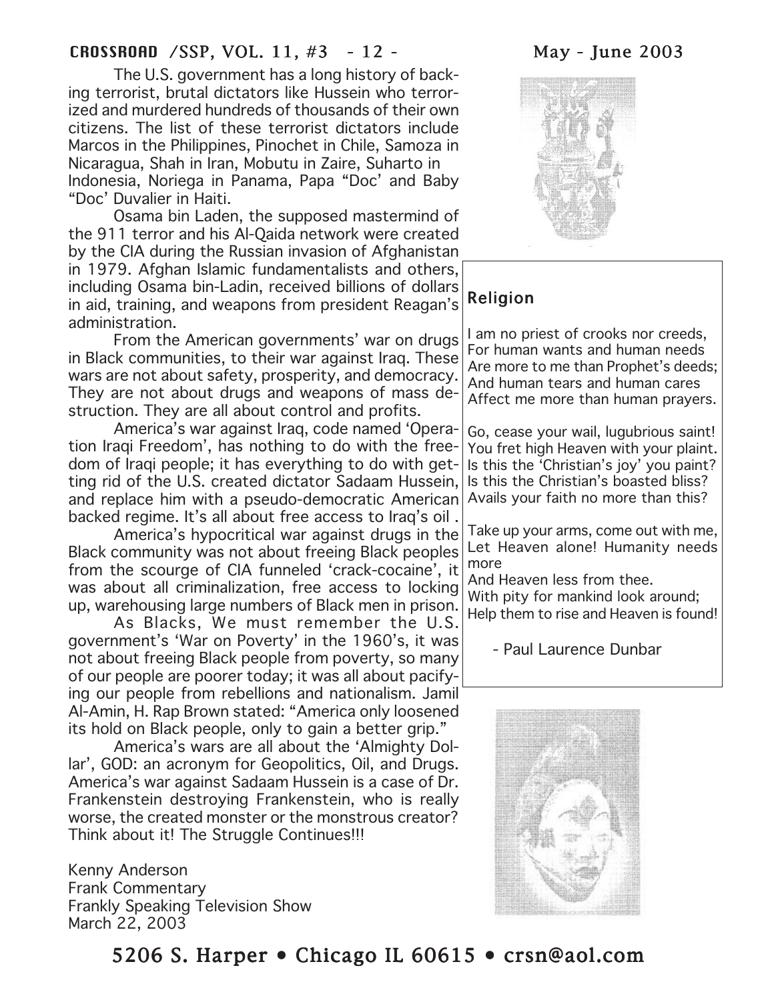# CROSSROAD /SSP, VOL. 11, #3 - 12 - May - June 2003

The U.S. government has a long history of backing terrorist, brutal dictators like Hussein who terrorized and murdered hundreds of thousands of their own citizens. The list of these terrorist dictators include Marcos in the Philippines, Pinochet in Chile, Samoza in Nicaragua, Shah in Iran, Mobutu in Zaire, Suharto in Indonesia, Noriega in Panama, Papa "Doc' and Baby "Doc' Duvalier in Haiti.

Osama bin Laden, the supposed mastermind of the 911 terror and his Al-Qaida network were created by the CIA during the Russian invasion of Afghanistan in 1979. Afghan Islamic fundamentalists and others, including Osama bin-Ladin, received billions of dollars in aid, training, and weapons from president Reagan's administration.

From the American governments' war on drugs in Black communities, to their war against Iraq. These wars are not about safety, prosperity, and democracy. They are not about drugs and weapons of mass destruction. They are all about control and profits.

America's war against Iraq, code named 'Operation Iraqi Freedom', has nothing to do with the freedom of Iraqi people; it has everything to do with getting rid of the U.S. created dictator Sadaam Hussein, and replace him with a pseudo-democratic American backed regime. It's all about free access to Iraq's oil .

America's hypocritical war against drugs in the Take up your arms, come out with me, Black community was not about freeing Black peoples from the scourge of CIA funneled 'crack-cocaine', it was about all criminalization, free access to locking up, warehousing large numbers of Black men in prison.

As Blacks, We must remember the U.S. government's 'War on Poverty' in the 1960's, it was not about freeing Black people from poverty, so many of our people are poorer today; it was all about pacifying our people from rebellions and nationalism. Jamil Al-Amin, H. Rap Brown stated: "America only loosened its hold on Black people, only to gain a better grip."

America's wars are all about the 'Almighty Dollar', GOD: an acronym for Geopolitics, Oil, and Drugs. America's war against Sadaam Hussein is a case of Dr. Frankenstein destroying Frankenstein, who is really worse, the created monster or the monstrous creator? Think about it! The Struggle Continues!!!

Kenny Anderson Frank Commentary Frankly Speaking Television Show March 22, 2003





# Religion

I am no priest of crooks nor creeds, For human wants and human needs Are more to me than Prophet's deeds; And human tears and human cares Affect me more than human prayers.

Go, cease your wail, lugubrious saint! You fret high Heaven with your plaint. Is this the 'Christian's joy' you paint? Is this the Christian's boasted bliss? Avails your faith no more than this?

Let Heaven alone! Humanity needs more

And Heaven less from thee. With pity for mankind look around; Help them to rise and Heaven is found!

- Paul Laurence Dunbar

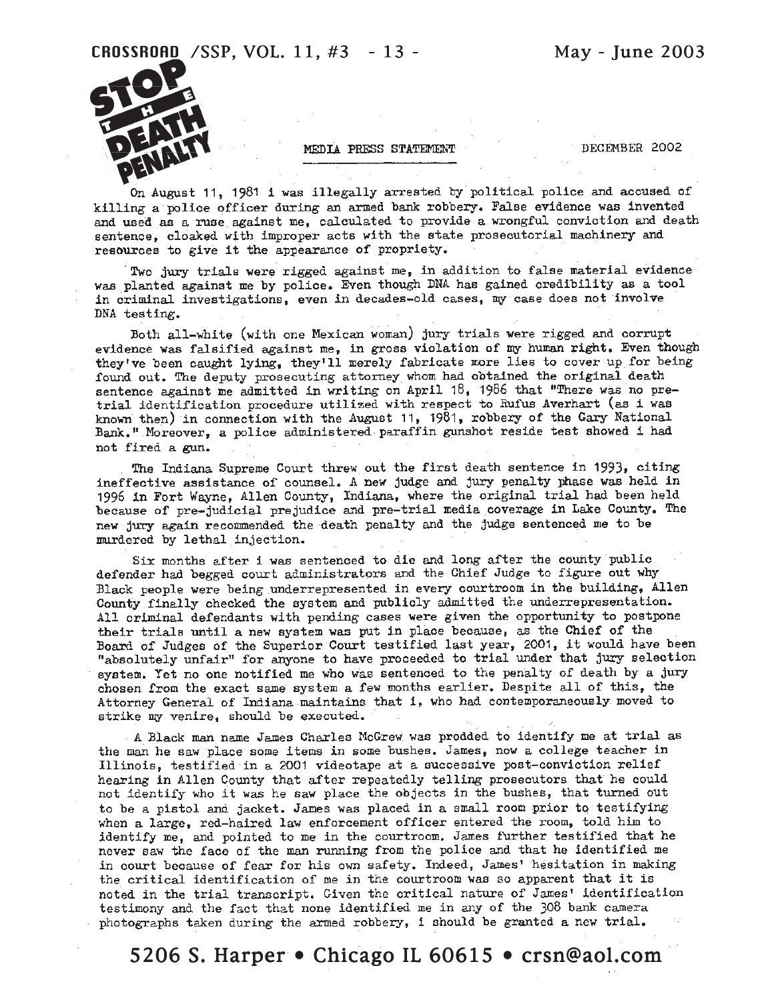

#### MEDIA PRESS STATEMENT

DECEMBER 2002

On August 11, 1981 i was illegally arrested by political police and accused of killing a police officer during an armed bank robbery. False evidence was invented and used as a ruse against me, calculated to provide a wrongful conviction and death sentence, cloaked with improper acts with the state prosecutorial machinery and resources to give it the appearance of propriety.

Two jury trials were rigged against me, in addition to false material evidence was planted against me by police. Even though DNA has gained credibility as a tool in criminal investigations, even in decades-old cases, my case does not involve DNA testing.

Both all-white (with one Mexican woman) jury trials were rigged and corrupt evidence was falsified against me, in gross violation of my human right. Even though they've been caught lying, they'll merely fabricate more lies to cover up for being found out. The deputy prosecuting attorney whom had obtained the original death sentence against me admitted in writing on April 18, 1986 that "There was no pretrial identification procedure utilized with respect to Rufus Averhart (as i was known then) in connection with the August 11, 1981, robbery of the Gary National Bank." Moreover, a police administered paraffin gunshot reside test showed i had not fired a gun.

The Indiana Supreme Court threw out the first death sentence in 1993, citing ineffective assistance of counsel. A new judge and jury penalty phase was held in 1996 in Fort Wayne, Allen County, Indiana, where the original trial had been held because of pre-judicial prejudice and pre-trial media coverage in Lake County. The new jury again recommended the death penalty and the judge sentenced me to be murdered by lethal injection.

Six months after i was sentenced to die and long after the county public defender had begged court administrators and the Chief Judge to figure out why Black people were being underrepresented in every courtroom in the building, Allen County finally checked the system and publicly admitted the underrepresentation. All criminal defendants with pending cases were given the opportunity to postpone their trials until a new system was put in place because, as the Chief of the Board of Judges of the Superior Court testified last year, 2001, it would have been "absolutely unfair" for anyone to have proceeded to trial under that jury selection system. Yet no one notified me who was sentenced to the penalty of death by a jury chosen from the exact same system a few months earlier. Despite all of this, the Attorney General of Indiana maintains that i, who had contemporaneously moved to strike my venire, should be executed.

A Black man name James Charles McGrew was prodded to identify me at trial as the man he saw place some items in some bushes. James, now a college teacher in Illinois, testified in a 2001 videotape at a successive post-conviction relief hearing in Allen County that after repeatedly telling prosecutors that he could not identify who it was he saw place the objects in the bushes, that turned out to be a pistol and jacket. James was placed in a small room prior to testifying when a large, red-haired law enforcement officer entered the room, told him to identify me, and pointed to me in the courtroom. James further testified that he never saw the face of the man running from the police and that he identified me in court because of fear for his own safety. Indeed, James' hesitation in making the critical identification of me in the courtroom was so apparent that it is noted in the trial transcript. Given the critical nature of James' identification testimony and the fact that none identified me in any of the 308 bank camera photographs taken during the armed robbery, i should be granted a new trial.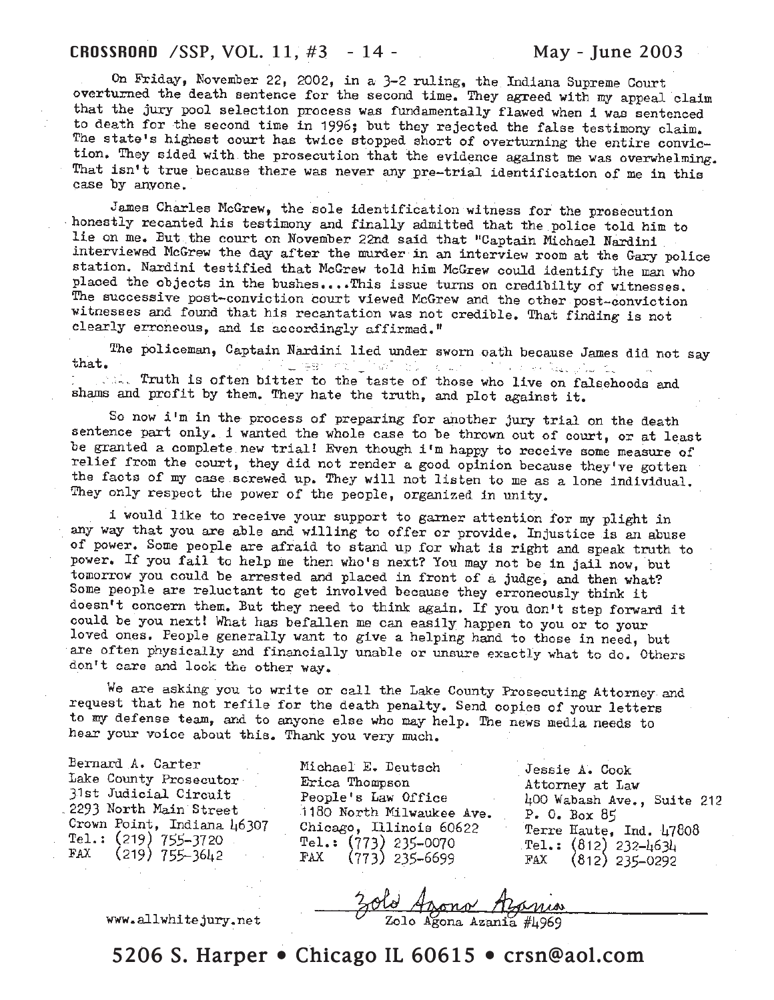On Friday, November 22, 2002, in a 3-2 ruling, the Indiana Supreme Court overturned the death sentence for the second time. They agreed with my appeal claim that the jury pool selection process was fundamentally flawed when i was sentenced to death for the second time in 1996; but they rejected the false testimony claim. The state's highest court has twice stopped short of overturning the entire conviction. They sided with the prosecution that the evidence against me was overwhelming. That isn't true because there was never any pre-trial identification of me in this case by anyone.

James Charles McGrew, the sole identification witness for the prosecution honestly recanted his testimony and finally admitted that the police told him to lie on me. But the court on November 22nd said that "Captain Michael Nardini interviewed McGrew the day after the murder in an interview room at the Gary police station. Nardini testified that McGrew told him McGrew could identify the man who placed the objects in the bushes....This issue turns on credibilty of witnesses. The successive post-conviction court viewed McGrew and the other post-conviction witnesses and found that his recantation was not credible. That finding is not clearly erroneous, and is accordingly affirmed."

The policeman, Captain Nardini lied under sworn oath because James did not say t. Truth is often bitter to the taste of those who live on falsehoods and that. shams and profit by them. They hate the truth, and plot against it.

So now i'm in the process of preparing for another jury trial on the death sentence part only. I wanted the whole case to be thrown out of court, or at least be granted a complete new trial! Even though i'm happy to receive some measure of relief from the court, they did not render a good opinion because they've gotten the facts of my case screwed up. They will not listen to me as a lone individual. They only respect the power of the people, organized in unity.

i would like to receive your support to garner attention for my plight in any way that you are able and willing to offer or provide. Injustice is an abuse of power. Some people are afraid to stand up for what is right and speak truth to power. If you fail to help me then who's next? You may not be in jail now, but tomorrow you could be arrested and placed in front of a judge, and then what? Some people are reluctant to get involved because they erroneously think it doesn't concern them. But they need to think again. If you don't step forward it could be you next! What has befallen me can easily happen to you or to your loved ones. People generally want to give a helping hand to those in need, but are often physically and financially unable or unsure exactly what to do. Others don't care and look the other way.

We are asking you to write or call the Lake County Prosecuting Attorney and request that he not refile for the death penalty. Send copies of your letters to my defense team, and to anyone else who may help. The news media needs to hear your voice about this. Thank you very much.

Bernard A. Carter Lake County Prosecutor 31st Judicial Circuit 2293 North Main Street Crown Point, Indiana 46307  $Tel.: (219) 755-3720$ FAX  $(219) 755 - 3642$ 

Michael E. Deutsch Erica Thompson People's Law Office 1180 North Milwaukee Ave. Chicago, Illinois 60622 Tel.:  $(773)$  235-0070 FAX  $(773)$  235–6699

Jessie A. Cook Attorney at Law 400 Wabash Ave., Suite 212 P. O. Box 85 Terre Haute, Ind. 47808 Tel.:  $(812)$  232-4634<br>FAX  $(812)$  235-0292

www.allwhite.jury.net

3010 Azono Azonia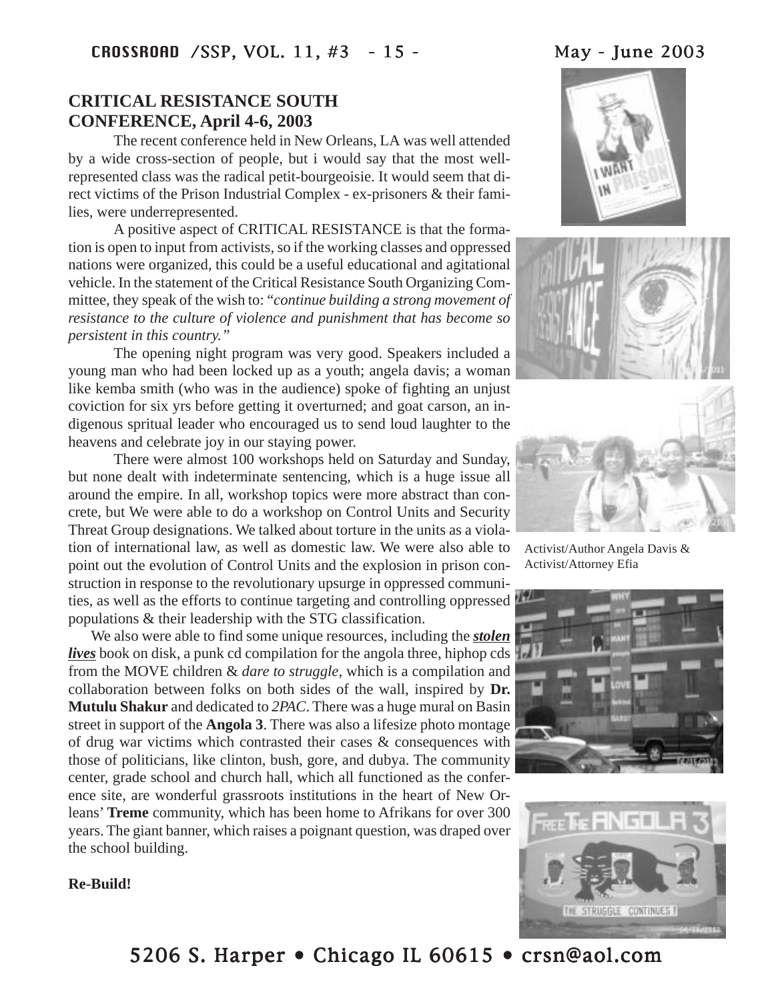# **CRITICAL RESISTANCE SOUTH CONFERENCE, April 4-6, 2003**

The recent conference held in New Orleans, LA was well attended by a wide cross-section of people, but i would say that the most wellrepresented class was the radical petit-bourgeoisie. It would seem that direct victims of the Prison Industrial Complex - ex-prisoners & their families, were underrepresented.

A positive aspect of CRITICAL RESISTANCE is that the formation is open to input from activists, so if the working classes and oppressed nations were organized, this could be a useful educational and agitational vehicle. In the statement of the Critical Resistance South Organizing Committee, they speak of the wish to: "*continue building a strong movement of resistance to the culture of violence and punishment that has become so persistent in this country."*

The opening night program was very good. Speakers included a young man who had been locked up as a youth; angela davis; a woman like kemba smith (who was in the audience) spoke of fighting an unjust coviction for six yrs before getting it overturned; and goat carson, an indigenous spritual leader who encouraged us to send loud laughter to the heavens and celebrate joy in our staying power.

There were almost 100 workshops held on Saturday and Sunday, but none dealt with indeterminate sentencing, which is a huge issue all around the empire. In all, workshop topics were more abstract than concrete, but We were able to do a workshop on Control Units and Security Threat Group designations. We talked about torture in the units as a violation of international law, as well as domestic law. We were also able to point out the evolution of Control Units and the explosion in prison construction in response to the revolutionary upsurge in oppressed communities, as well as the efforts to continue targeting and controlling oppressed populations & their leadership with the STG classification.

We also were able to find some unique resources, including the *stolen lives* book on disk, a punk cd compilation for the angola three, hiphop cds from the MOVE children & *dare to struggle*, which is a compilation and collaboration between folks on both sides of the wall, inspired by **Dr. Mutulu Shakur** and dedicated to *2PAC*. There was a huge mural on Basin street in support of the **Angola 3**. There was also a lifesize photo montage of drug war victims which contrasted their cases & consequences with those of politicians, like clinton, bush, gore, and dubya. The community center, grade school and church hall, which all functioned as the conference site, are wonderful grassroots institutions in the heart of New Orleans' **Treme** community, which has been home to Afrikans for over 300 years. The giant banner, which raises a poignant question, was draped over the school building.







Activist/Author Angela Davis & Activist/Attorney Efia





#### **Re-Build!**